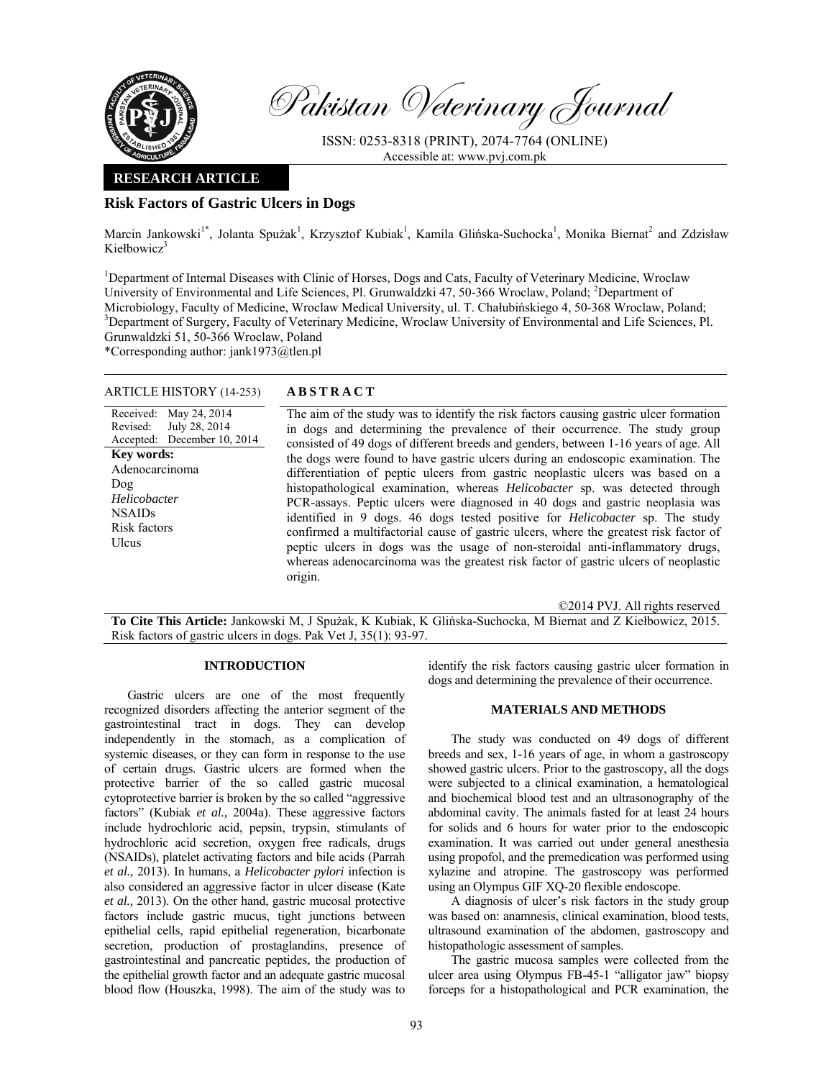

Pakistan Veterinary Journal

ISSN: 0253-8318 (PRINT), 2074-7764 (ONLINE) Accessible at: www.pvj.com.pk

# **RESEARCH ARTICLE**

# **Risk Factors of Gastric Ulcers in Dogs**

Marcin Jankowski<sup>1\*</sup>, Jolanta Spużak<sup>1</sup>, Krzysztof Kubiak<sup>1</sup>, Kamila Glińska-Suchocka<sup>1</sup>, Monika Biernat<sup>2</sup> and Zdzisław Kiełbowicz<sup>3</sup>

<sup>1</sup>Department of Internal Diseases with Clinic of Horses, Dogs and Cats, Faculty of Veterinary Medicine, Wroclaw University of Environmental and Life Sciences, Pl. Grunwaldzki 47, 50-366 Wroclaw, Poland; <sup>2</sup>Department of Microbiology, Faculty of Medicine, Wroclaw Medical University, ul. T. Chałubińskiego 4, 50-368 Wroclaw, Poland; 3 <sup>3</sup>Department of Surgery, Faculty of Veterinary Medicine, Wroclaw University of Environmental and Life Sciences, Pl. Grunwaldzki 51, 50-366 Wroclaw, Poland

\*Corresponding author: jank1973@tlen.pl

## ARTICLE HISTORY (14-253) **ABSTRACT**

July 28, 2014 December 10, 2014

Received: May 24, 2014

Revised: Accepted:

Dog *Helicobacter* NSAIDs Risk factors Ulcus

**Key words:**  Adenocarcinoma

 The aim of the study was to identify the risk factors causing gastric ulcer formation in dogs and determining the prevalence of their occurrence. The study group consisted of 49 dogs of different breeds and genders, between 1-16 years of age. All the dogs were found to have gastric ulcers during an endoscopic examination. The differentiation of peptic ulcers from gastric neoplastic ulcers was based on a histopathological examination, whereas *Helicobacter* sp. was detected through PCR-assays. Peptic ulcers were diagnosed in 40 dogs and gastric neoplasia was identified in 9 dogs. 46 dogs tested positive for *Helicobacter* sp. The study confirmed a multifactorial cause of gastric ulcers, where the greatest risk factor of peptic ulcers in dogs was the usage of non-steroidal anti-inflammatory drugs, whereas adenocarcinoma was the greatest risk factor of gastric ulcers of neoplastic origin.

©2014 PVJ. All rights reserved

**To Cite This Article:** Jankowski M, J Spużak, K Kubiak, K Glińska-Suchocka, M Biernat and Z Kiełbowicz, 2015. Risk factors of gastric ulcers in dogs. Pak Vet J, 35(1): 93-97.

### **INTRODUCTION**

Gastric ulcers are one of the most frequently recognized disorders affecting the anterior segment of the gastrointestinal tract in dogs. They can develop independently in the stomach, as a complication of systemic diseases, or they can form in response to the use of certain drugs. Gastric ulcers are formed when the protective barrier of the so called gastric mucosal cytoprotective barrier is broken by the so called "aggressive factors" (Kubiak *et al.,* 2004a). These aggressive factors include hydrochloric acid, pepsin, trypsin, stimulants of hydrochloric acid secretion, oxygen free radicals, drugs (NSAIDs), platelet activating factors and bile acids (Parrah *et al.,* 2013). In humans, a *Helicobacter pylori* infection is also considered an aggressive factor in ulcer disease (Kate *et al.,* 2013). On the other hand, gastric mucosal protective factors include gastric mucus, tight junctions between epithelial cells, rapid epithelial regeneration, bicarbonate secretion, production of prostaglandins, presence of gastrointestinal and pancreatic peptides, the production of the epithelial growth factor and an adequate gastric mucosal blood flow (Houszka, 1998). The aim of the study was to

identify the risk factors causing gastric ulcer formation in dogs and determining the prevalence of their occurrence.

#### **MATERIALS AND METHODS**

The study was conducted on 49 dogs of different breeds and sex, 1-16 years of age, in whom a gastroscopy showed gastric ulcers. Prior to the gastroscopy, all the dogs were subjected to a clinical examination, a hematological and biochemical blood test and an ultrasonography of the abdominal cavity. The animals fasted for at least 24 hours for solids and 6 hours for water prior to the endoscopic examination. It was carried out under general anesthesia using propofol, and the premedication was performed using xylazine and atropine. The gastroscopy was performed using an Olympus GIF XQ-20 flexible endoscope.

A diagnosis of ulcer's risk factors in the study group was based on: anamnesis, clinical examination, blood tests, ultrasound examination of the abdomen, gastroscopy and histopathologic assessment of samples.

The gastric mucosa samples were collected from the ulcer area using Olympus FB-45-1 "alligator jaw" biopsy forceps for a histopathological and PCR examination, the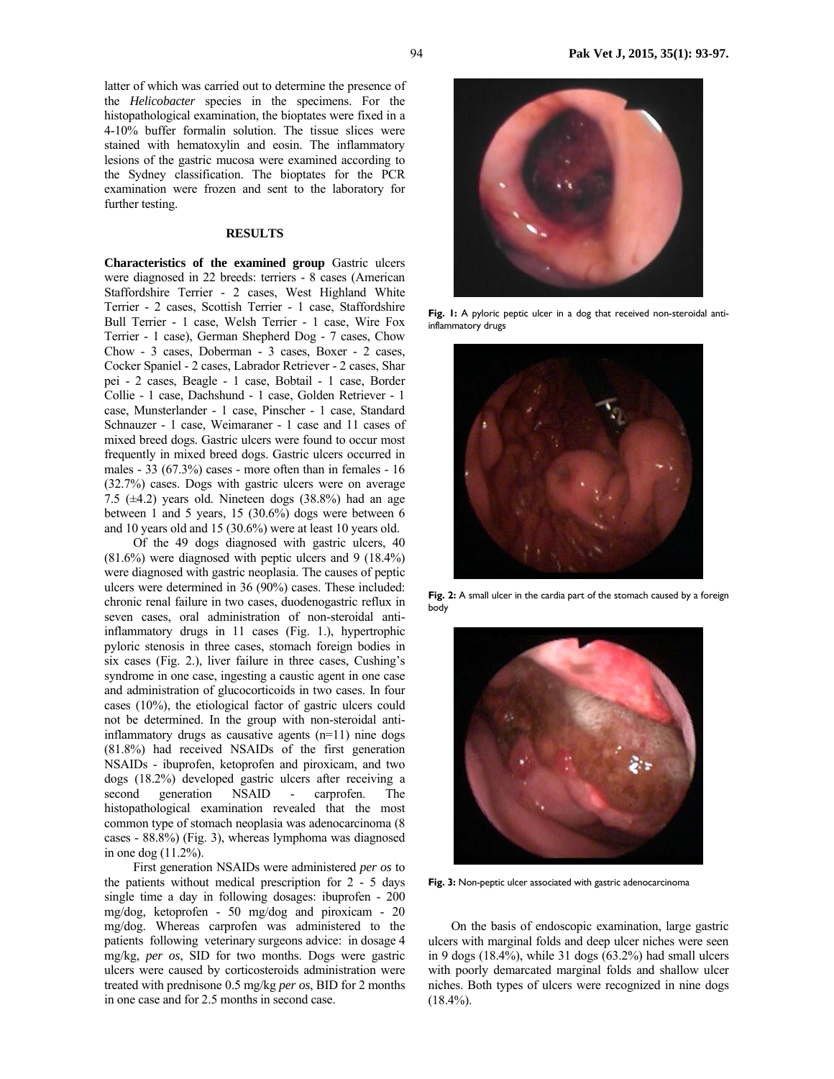latter of which was carried out to determine the presence of the *Helicobacter* species in the specimens. For the histopathological examination, the bioptates were fixed in a 4-10% buffer formalin solution. The tissue slices were stained with hematoxylin and eosin. The inflammatory lesions of the gastric mucosa were examined according to the Sydney classification. The bioptates for the PCR examination were frozen and sent to the laboratory for further testing.

#### **RESULTS**

**Characteristics of the examined group** Gastric ulcers were diagnosed in 22 breeds: terriers - 8 cases (American Staffordshire Terrier - 2 cases, West Highland White Terrier - 2 cases, Scottish Terrier - 1 case, Staffordshire Bull Terrier - 1 case, Welsh Terrier - 1 case, Wire Fox Terrier - 1 case), German Shepherd Dog - 7 cases, Chow Chow - 3 cases, Doberman - 3 cases, Boxer - 2 cases, Cocker Spaniel - 2 cases, Labrador Retriever - 2 cases, Shar pei - 2 cases, Beagle - 1 case, Bobtail - 1 case, Border Collie - 1 case, Dachshund - 1 case, Golden Retriever - 1 case, Munsterlander - 1 case, Pinscher - 1 case, Standard Schnauzer - 1 case, Weimaraner - 1 case and 11 cases of mixed breed dogs. Gastric ulcers were found to occur most frequently in mixed breed dogs. Gastric ulcers occurred in males - 33 (67.3%) cases - more often than in females - 16 (32.7%) cases. Dogs with gastric ulcers were on average 7.5 ( $\pm$ 4.2) years old. Nineteen dogs (38.8%) had an age between 1 and 5 years, 15 (30.6%) dogs were between 6 and 10 years old and 15 (30.6%) were at least 10 years old.

Of the 49 dogs diagnosed with gastric ulcers, 40 (81.6%) were diagnosed with peptic ulcers and 9 (18.4%) were diagnosed with gastric neoplasia. The causes of peptic ulcers were determined in 36 (90%) cases. These included: chronic renal failure in two cases, duodenogastric reflux in seven cases, oral administration of non-steroidal antiinflammatory drugs in 11 cases (Fig. 1.), hypertrophic pyloric stenosis in three cases, stomach foreign bodies in six cases (Fig. 2.), liver failure in three cases, Cushing's syndrome in one case, ingesting a caustic agent in one case and administration of glucocorticoids in two cases. In four cases (10%), the etiological factor of gastric ulcers could not be determined. In the group with non-steroidal antiinflammatory drugs as causative agents (n=11) nine dogs (81.8%) had received NSAIDs of the first generation NSAIDs - ibuprofen, ketoprofen and piroxicam, and two dogs (18.2%) developed gastric ulcers after receiving a second generation NSAID - carprofen. The histopathological examination revealed that the most common type of stomach neoplasia was adenocarcinoma (8 cases - 88.8%) (Fig. 3), whereas lymphoma was diagnosed in one dog (11.2%).

First generation NSAIDs were administered *per os* to the patients without medical prescription for 2 - 5 days single time a day in following dosages: ibuprofen - 200 mg/dog, ketoprofen - 50 mg/dog and piroxicam - 20 mg/dog. Whereas carprofen was administered to the patients following veterinary surgeons advice: in dosage 4 mg/kg, *per os*, SID for two months. Dogs were gastric ulcers were caused by corticosteroids administration were treated with prednisone 0.5 mg/kg *per os*, BID for 2 months in one case and for 2.5 months in second case.



Fig. I: A pyloric peptic ulcer in a dog that received non-steroidal antiinflammatory drugs



**Fig. 2:** A small ulcer in the cardia part of the stomach caused by a foreign body



**Fig. 3:** Non-peptic ulcer associated with gastric adenocarcinoma

On the basis of endoscopic examination, large gastric ulcers with marginal folds and deep ulcer niches were seen in 9 dogs (18.4%), while 31 dogs (63.2%) had small ulcers with poorly demarcated marginal folds and shallow ulcer niches. Both types of ulcers were recognized in nine dogs  $(18.4\%)$ .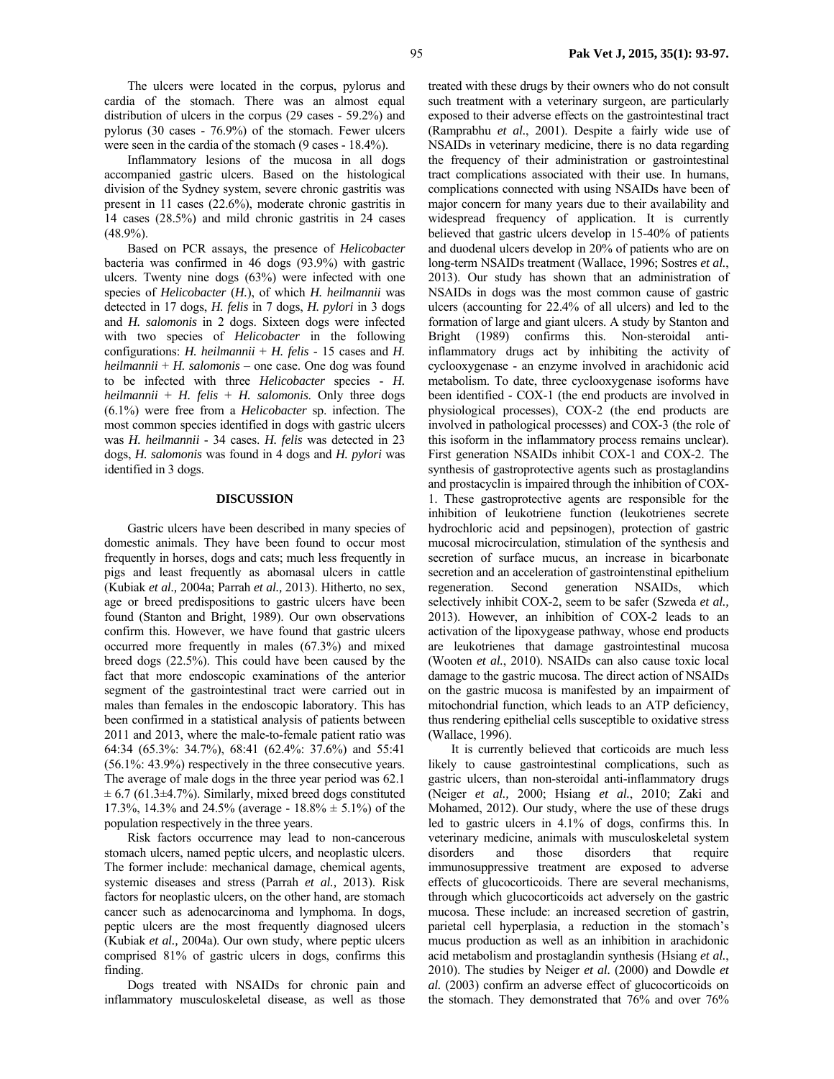The ulcers were located in the corpus, pylorus and cardia of the stomach. There was an almost equal distribution of ulcers in the corpus (29 cases - 59.2%) and pylorus (30 cases - 76.9%) of the stomach. Fewer ulcers were seen in the cardia of the stomach (9 cases - 18.4%).

Inflammatory lesions of the mucosa in all dogs accompanied gastric ulcers. Based on the histological division of the Sydney system, severe chronic gastritis was present in 11 cases (22.6%), moderate chronic gastritis in 14 cases (28.5%) and mild chronic gastritis in 24 cases  $(48.9\%)$ .

Based on PCR assays, the presence of *Helicobacter* bacteria was confirmed in 46 dogs (93.9%) with gastric ulcers. Twenty nine dogs (63%) were infected with one species of *Helicobacter* (*H.*), of which *H. heilmannii* was detected in 17 dogs, *H. felis* in 7 dogs, *H. pylori* in 3 dogs and *H. salomonis* in 2 dogs. Sixteen dogs were infected with two species of *Helicobacter* in the following configurations: *H. heilmannii* + *H. felis* - 15 cases and *H. heilmannii* + *H. salomonis* – one case. One dog was found to be infected with three *Helicobacter* species - *H. heilmannii* + *H. felis* + *H. salomonis*. Only three dogs (6.1%) were free from a *Helicobacter* sp. infection. The most common species identified in dogs with gastric ulcers was *H. heilmannii* - 34 cases. *H. felis* was detected in 23 dogs, *H. salomonis* was found in 4 dogs and *H. pylori* was identified in 3 dogs.

## **DISCUSSION**

Gastric ulcers have been described in many species of domestic animals. They have been found to occur most frequently in horses, dogs and cats; much less frequently in pigs and least frequently as abomasal ulcers in cattle (Kubiak *et al.,* 2004a; Parrah *et al.,* 2013). Hitherto, no sex, age or breed predispositions to gastric ulcers have been found (Stanton and Bright, 1989). Our own observations confirm this. However, we have found that gastric ulcers occurred more frequently in males (67.3%) and mixed breed dogs (22.5%). This could have been caused by the fact that more endoscopic examinations of the anterior segment of the gastrointestinal tract were carried out in males than females in the endoscopic laboratory. This has been confirmed in a statistical analysis of patients between 2011 and 2013, where the male-to-female patient ratio was 64:34 (65.3%: 34.7%), 68:41 (62.4%: 37.6%) and 55:41 (56.1%: 43.9%) respectively in the three consecutive years. The average of male dogs in the three year period was 62.1  $\pm$  6.7 (61.3 $\pm$ 4.7%). Similarly, mixed breed dogs constituted 17.3%, 14.3% and 24.5% (average - 18.8% ± 5.1%) of the population respectively in the three years.

Risk factors occurrence may lead to non-cancerous stomach ulcers, named peptic ulcers, and neoplastic ulcers. The former include: mechanical damage, chemical agents, systemic diseases and stress (Parrah *et al.,* 2013). Risk factors for neoplastic ulcers, on the other hand, are stomach cancer such as adenocarcinoma and lymphoma. In dogs, peptic ulcers are the most frequently diagnosed ulcers (Kubiak *et al.,* 2004a). Our own study, where peptic ulcers comprised 81% of gastric ulcers in dogs, confirms this finding.

Dogs treated with NSAIDs for chronic pain and inflammatory musculoskeletal disease, as well as those

treated with these drugs by their owners who do not consult such treatment with a veterinary surgeon, are particularly exposed to their adverse effects on the gastrointestinal tract (Ramprabhu *et al.*, 2001). Despite a fairly wide use of NSAIDs in veterinary medicine, there is no data regarding the frequency of their administration or gastrointestinal tract complications associated with their use. In humans, complications connected with using NSAIDs have been of major concern for many years due to their availability and widespread frequency of application. It is currently believed that gastric ulcers develop in 15-40% of patients and duodenal ulcers develop in 20% of patients who are on long-term NSAIDs treatment (Wallace, 1996; Sostres *et al.*, 2013). Our study has shown that an administration of NSAIDs in dogs was the most common cause of gastric ulcers (accounting for 22.4% of all ulcers) and led to the formation of large and giant ulcers. A study by Stanton and Bright (1989) confirms this. Non-steroidal antiinflammatory drugs act by inhibiting the activity of cyclooxygenase - an enzyme involved in arachidonic acid metabolism. To date, three cyclooxygenase isoforms have been identified - COX-1 (the end products are involved in physiological processes), COX-2 (the end products are involved in pathological processes) and COX-3 (the role of this isoform in the inflammatory process remains unclear). First generation NSAIDs inhibit COX-1 and COX-2. The synthesis of gastroprotective agents such as prostaglandins and prostacyclin is impaired through the inhibition of COX-1. These gastroprotective agents are responsible for the inhibition of leukotriene function (leukotrienes secrete hydrochloric acid and pepsinogen), protection of gastric mucosal microcirculation, stimulation of the synthesis and secretion of surface mucus, an increase in bicarbonate secretion and an acceleration of gastrointenstinal epithelium regeneration. Second generation NSAIDs, which selectively inhibit COX-2, seem to be safer (Szweda *et al.,*  2013). However, an inhibition of COX-2 leads to an activation of the lipoxygease pathway, whose end products are leukotrienes that damage gastrointestinal mucosa (Wooten *et al.*, 2010). NSAIDs can also cause toxic local damage to the gastric mucosa. The direct action of NSAIDs on the gastric mucosa is manifested by an impairment of mitochondrial function, which leads to an ATP deficiency, thus rendering epithelial cells susceptible to oxidative stress (Wallace, 1996).

It is currently believed that corticoids are much less likely to cause gastrointestinal complications, such as gastric ulcers, than non-steroidal anti-inflammatory drugs (Neiger *et al.,* 2000; Hsiang *et al.*, 2010; Zaki and Mohamed, 2012). Our study, where the use of these drugs led to gastric ulcers in 4.1% of dogs, confirms this. In veterinary medicine, animals with musculoskeletal system disorders and those disorders that require immunosuppressive treatment are exposed to adverse effects of glucocorticoids. There are several mechanisms, through which glucocorticoids act adversely on the gastric mucosa. These include: an increased secretion of gastrin, parietal cell hyperplasia, a reduction in the stomach's mucus production as well as an inhibition in arachidonic acid metabolism and prostaglandin synthesis (Hsiang *et al.*, 2010). The studies by Neiger *et al.* (2000) and Dowdle *et al.* (2003) confirm an adverse effect of glucocorticoids on the stomach. They demonstrated that 76% and over 76%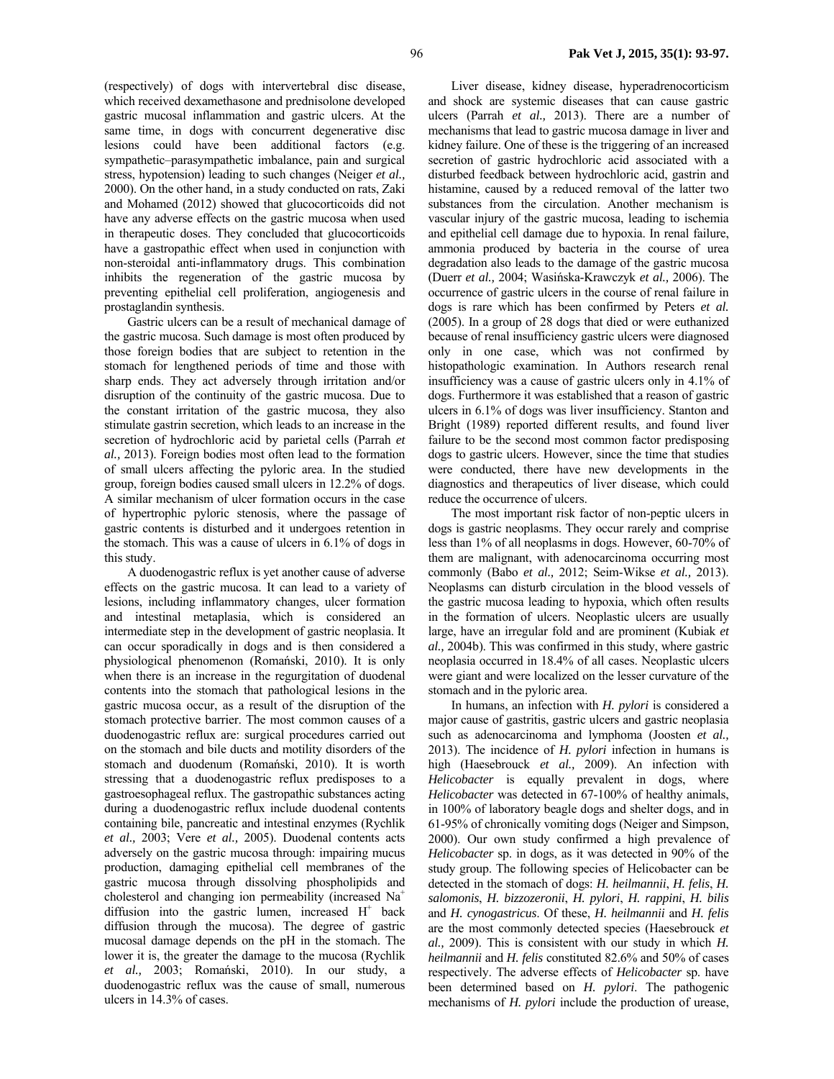(respectively) of dogs with intervertebral disc disease, which received dexamethasone and prednisolone developed gastric mucosal inflammation and gastric ulcers. At the same time, in dogs with concurrent degenerative disc lesions could have been additional factors (e.g. sympathetic–parasympathetic imbalance, pain and surgical stress, hypotension) leading to such changes (Neiger *et al.,* 2000). On the other hand, in a study conducted on rats, Zaki and Mohamed (2012) showed that glucocorticoids did not have any adverse effects on the gastric mucosa when used in therapeutic doses. They concluded that glucocorticoids have a gastropathic effect when used in conjunction with non-steroidal anti-inflammatory drugs. This combination inhibits the regeneration of the gastric mucosa by preventing epithelial cell proliferation, angiogenesis and prostaglandin synthesis.

Gastric ulcers can be a result of mechanical damage of the gastric mucosa. Such damage is most often produced by those foreign bodies that are subject to retention in the stomach for lengthened periods of time and those with sharp ends. They act adversely through irritation and/or disruption of the continuity of the gastric mucosa. Due to the constant irritation of the gastric mucosa, they also stimulate gastrin secretion, which leads to an increase in the secretion of hydrochloric acid by parietal cells (Parrah *et al.,* 2013). Foreign bodies most often lead to the formation of small ulcers affecting the pyloric area. In the studied group, foreign bodies caused small ulcers in 12.2% of dogs. A similar mechanism of ulcer formation occurs in the case of hypertrophic pyloric stenosis, where the passage of gastric contents is disturbed and it undergoes retention in the stomach. This was a cause of ulcers in 6.1% of dogs in this study.

A duodenogastric reflux is yet another cause of adverse effects on the gastric mucosa. It can lead to a variety of lesions, including inflammatory changes, ulcer formation and intestinal metaplasia, which is considered an intermediate step in the development of gastric neoplasia. It can occur sporadically in dogs and is then considered a physiological phenomenon (Romański, 2010). It is only when there is an increase in the regurgitation of duodenal contents into the stomach that pathological lesions in the gastric mucosa occur, as a result of the disruption of the stomach protective barrier. The most common causes of a duodenogastric reflux are: surgical procedures carried out on the stomach and bile ducts and motility disorders of the stomach and duodenum (Romański, 2010). It is worth stressing that a duodenogastric reflux predisposes to a gastroesophageal reflux. The gastropathic substances acting during a duodenogastric reflux include duodenal contents containing bile, pancreatic and intestinal enzymes (Rychlik *et al.,* 2003; Vere *et al.,* 2005). Duodenal contents acts adversely on the gastric mucosa through: impairing mucus production, damaging epithelial cell membranes of the gastric mucosa through dissolving phospholipids and cholesterol and changing ion permeability (increased Na+ diffusion into the gastric lumen, increased  $H^+$  back diffusion through the mucosa). The degree of gastric mucosal damage depends on the pH in the stomach. The lower it is, the greater the damage to the mucosa (Rychlik *et al.,* 2003; Romański, 2010). In our study, a duodenogastric reflux was the cause of small, numerous ulcers in 14.3% of cases.

Liver disease, kidney disease, hyperadrenocorticism and shock are systemic diseases that can cause gastric ulcers (Parrah *et al.,* 2013). There are a number of mechanisms that lead to gastric mucosa damage in liver and kidney failure. One of these is the triggering of an increased secretion of gastric hydrochloric acid associated with a disturbed feedback between hydrochloric acid, gastrin and histamine, caused by a reduced removal of the latter two substances from the circulation. Another mechanism is vascular injury of the gastric mucosa, leading to ischemia and epithelial cell damage due to hypoxia. In renal failure, ammonia produced by bacteria in the course of urea degradation also leads to the damage of the gastric mucosa (Duerr *et al.,* 2004; Wasińska-Krawczyk *et al.,* 2006). The occurrence of gastric ulcers in the course of renal failure in dogs is rare which has been confirmed by Peters *et al.* (2005). In a group of 28 dogs that died or were euthanized because of renal insufficiency gastric ulcers were diagnosed only in one case, which was not confirmed by histopathologic examination. In Authors research renal insufficiency was a cause of gastric ulcers only in 4.1% of dogs. Furthermore it was established that a reason of gastric ulcers in 6.1% of dogs was liver insufficiency. Stanton and Bright (1989) reported different results, and found liver failure to be the second most common factor predisposing dogs to gastric ulcers. However, since the time that studies were conducted, there have new developments in the diagnostics and therapeutics of liver disease, which could reduce the occurrence of ulcers.

The most important risk factor of non-peptic ulcers in dogs is gastric neoplasms. They occur rarely and comprise less than 1% of all neoplasms in dogs. However, 60-70% of them are malignant, with adenocarcinoma occurring most commonly (Babo *et al.,* 2012; Seim-Wikse *et al.,* 2013). Neoplasms can disturb circulation in the blood vessels of the gastric mucosa leading to hypoxia, which often results in the formation of ulcers. Neoplastic ulcers are usually large, have an irregular fold and are prominent (Kubiak *et al.,* 2004b). This was confirmed in this study, where gastric neoplasia occurred in 18.4% of all cases. Neoplastic ulcers were giant and were localized on the lesser curvature of the stomach and in the pyloric area.

In humans, an infection with *H. pylori* is considered a major cause of gastritis, gastric ulcers and gastric neoplasia such as adenocarcinoma and lymphoma (Joosten *et al.,* 2013). The incidence of *H. pylori* infection in humans is high (Haesebrouck *et al.,* 2009). An infection with *Helicobacter* is equally prevalent in dogs, where *Helicobacter* was detected in 67-100% of healthy animals, in 100% of laboratory beagle dogs and shelter dogs, and in 61-95% of chronically vomiting dogs (Neiger and Simpson, 2000). Our own study confirmed a high prevalence of *Helicobacter* sp. in dogs, as it was detected in 90% of the study group. The following species of Helicobacter can be detected in the stomach of dogs: *H. heilmannii*, *H. felis*, *H. salomonis*, *H. bizzozeronii*, *H. pylori*, *H. rappini*, *H. bilis* and *H. cynogastricus*. Of these, *H. heilmannii* and *H. felis* are the most commonly detected species (Haesebrouck *et al.,* 2009). This is consistent with our study in which *H. heilmannii* and *H. felis* constituted 82.6% and 50% of cases respectively. The adverse effects of *Helicobacter* sp. have been determined based on *H. pylori*. The pathogenic mechanisms of *H. pylori* include the production of urease,